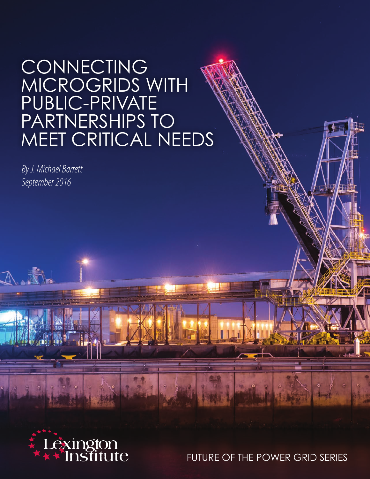# CONNECTING MICROGRIDS WITH PUBLIC-PRIVATE PARTNERSHIPS TO MEET CRITICAL NEEDS

*By J. Michael Barrett September 2016*



FUTURE OF THE POWER GRID SERIES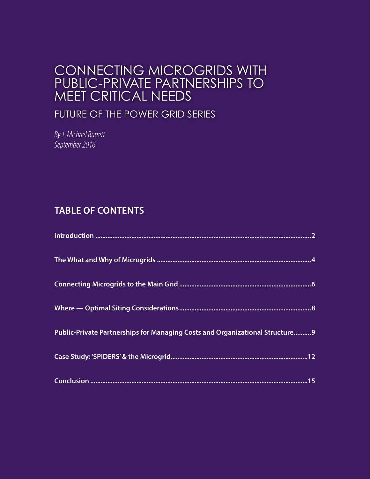## CONNECTING MICROGRIDS WITH PUBLIC-PRIVATE PARTNERSHIPS TO MEET CRITICAL NEEDS

## FUTURE OF THE POWER GRID SERIES

*By J. Michael Barrett September 2016*

## **TABLE OF CONTENTS**

| Public-Private Partnerships for Managing Costs and Organizational Structure9 |
|------------------------------------------------------------------------------|
|                                                                              |
|                                                                              |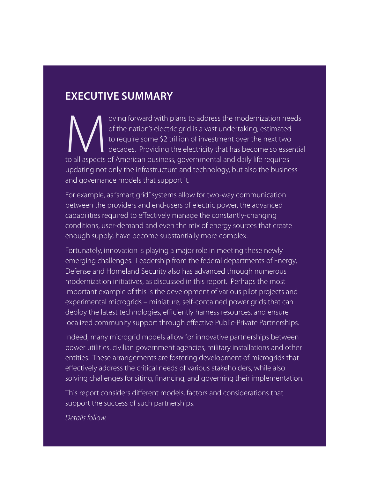## **EXECUTIVE SUMMARY**

oving forward with plans to address the modernization needs of the nation's electric grid is a vast undertaking, estimated to require some \$2 trillion of investment over the next two decades. Providing the electricity that of the nation's electric grid is a vast undertaking, estimated to require some \$2 trillion of investment over the next two decades. Providing the electricity that has become so essential to all aspects of American business, governmental and daily life requires updating not only the infrastructure and technology, but also the business and governance models that support it.

For example, as "smart grid" systems allow for two-way communication between the providers and end-users of electric power, the advanced capabilities required to effectively manage the constantly-changing conditions, user-demand and even the mix of energy sources that create enough supply, have become substantially more complex.

Fortunately, innovation is playing a major role in meeting these newly emerging challenges. Leadership from the federal departments of Energy, Defense and Homeland Security also has advanced through numerous modernization initiatives, as discussed in this report. Perhaps the most important example of this is the development of various pilot projects and experimental microgrids – miniature, self-contained power grids that can deploy the latest technologies, efficiently harness resources, and ensure localized community support through effective Public-Private Partnerships.

Indeed, many microgrid models allow for innovative partnerships between power utilities, civilian government agencies, military installations and other entities. These arrangements are fostering development of microgrids that effectively address the critical needs of various stakeholders, while also solving challenges for siting, financing, and governing their implementation.

This report considers different models, factors and considerations that support the success of such partnerships.

*Details follow.*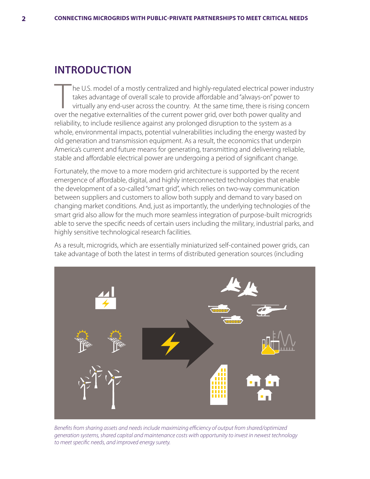## **INTRODUCTION**

The U.S. model of a mostly centralized and highly-regulated electrical power industry<br>takes advantage of overall scale to provide affordable and "always-on" power to<br>virtually any end-user across the country. At the same t takes advantage of overall scale to provide affordable and "always-on" power to virtually any end-user across the country. At the same time, there is rising concern over the negative externalities of the current power grid, over both power quality and reliability, to include resilience against any prolonged disruption to the system as a whole, environmental impacts, potential vulnerabilities including the energy wasted by old generation and transmission equipment. As a result, the economics that underpin America's current and future means for generating, transmitting and delivering reliable, stable and affordable electrical power are undergoing a period of significant change.

Fortunately, the move to a more modern grid architecture is supported by the recent emergence of affordable, digital, and highly interconnected technologies that enable the development of a so-called "smart grid", which relies on two-way communication between suppliers and customers to allow both supply and demand to vary based on changing market conditions. And, just as importantly, the underlying technologies of the smart grid also allow for the much more seamless integration of purpose-built microgrids able to serve the specific needs of certain users including the military, industrial parks, and highly sensitive technological research facilities.

As a result, microgrids, which are essentially miniaturized self-contained power grids, can take advantage of both the latest in terms of distributed generation sources (including



*Benefits from sharing assets and needs include maximizing efficiency of output from shared/optimized generation systems, shared capital and maintenance costs with opportunity to invest in newest technology to meet specific needs, and improved energy surety.*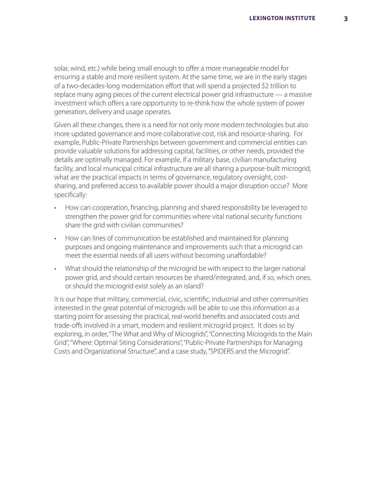solar, wind, etc.) while being small enough to offer a more manageable model for ensuring a stable and more resilient system. At the same time, we are in the early stages of a two-decades-long modernization effort that will spend a projected \$2 trillion to replace many aging pieces of the current electrical power grid infrastructure — a massive investment which offers a rare opportunity to re-think how the whole system of power generation, delivery and usage operates.

Given all these changes, there is a need for not only more modern technologies but also more updated governance and more collaborative cost, risk and resource-sharing. For example, Public-Private Partnerships between government and commercial entities can provide valuable solutions for addressing capital, facilities, or other needs, provided the details are optimally managed. For example, if a military base, civilian manufacturing facility, and local municipal critical infrastructure are all sharing a purpose-built microgrid, what are the practical impacts in terms of governance, regulatory oversight, costsharing, and preferred access to available power should a major disruption occur? More specifically:

- How can cooperation, financing, planning and shared responsibility be leveraged to strengthen the power grid for communities where vital national security functions share the grid with civilian communities?
- How can lines of communication be established and maintained for planning purposes and ongoing maintenance and improvements such that a microgrid can meet the essential needs of all users without becoming unaffordable?
- What should the relationship of the microgrid be with respect to the larger national power grid, and should certain resources be shared/integrated, and, if so, which ones, or should the microgrid exist solely as an island?

It is our hope that military, commercial, civic, scientific, industrial and other communities interested in the great potential of microgrids will be able to use this information as a starting point for assessing the practical, real-world benefits and associated costs and trade-offs involved in a smart, modern and resilient microgrid project. It does so by exploring, in order, "The What and Why of Microgrids", "Connecting Microgrids to the Main Grid", "Where: Optimal Siting Considerations", "Public-Private Partnerships for Managing Costs and Organizational Structure", and a case study, "SPIDERS and the Microgrid".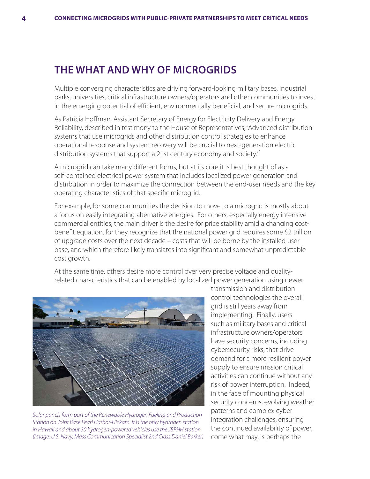#### **THE WHAT AND WHY OF MICROGRIDS**

Multiple converging characteristics are driving forward-looking military bases, industrial parks, universities, critical infrastructure owners/operators and other communities to invest in the emerging potential of efficient, environmentally beneficial, and secure microgrids.

As Patricia Hoffman, Assistant Secretary of Energy for Electricity Delivery and Energy Reliability, described in testimony to the House of Representatives, "Advanced distribution systems that use microgrids and other distribution control strategies to enhance operational response and system recovery will be crucial to next-generation electric distribution systems that support a 21st century economy and society."<sup>1</sup>

A microgrid can take many different forms, but at its core it is best thought of as a self-contained electrical power system that includes localized power generation and distribution in order to maximize the connection between the end-user needs and the key operating characteristics of that specific microgrid.

For example, for some communities the decision to move to a microgrid is mostly about a focus on easily integrating alternative energies. For others, especially energy intensive commercial entities, the main driver is the desire for price stability amid a changing costbenefit equation, for they recognize that the national power grid requires some \$2 trillion of upgrade costs over the next decade – costs that will be borne by the installed user base, and which therefore likely translates into significant and somewhat unpredictable cost growth.

At the same time, others desire more control over very precise voltage and qualityrelated characteristics that can be enabled by localized power generation using newer



*Solar panels form part of the Renewable Hydrogen Fueling and Production Station on Joint Base Pearl Harbor-Hickam. It is the only hydrogen station in Hawaii and about 30 hydrogen-powered vehicles use the JBPHH station. (Image: U.S. Navy, Mass Communication Specialist 2nd Class Daniel Barker)*

transmission and distribution control technologies the overall grid is still years away from implementing. Finally, users such as military bases and critical infrastructure owners/operators have security concerns, including cybersecurity risks, that drive demand for a more resilient power supply to ensure mission critical activities can continue without any risk of power interruption. Indeed, in the face of mounting physical security concerns, evolving weather patterns and complex cyber integration challenges, ensuring the continued availability of power, come what may, is perhaps the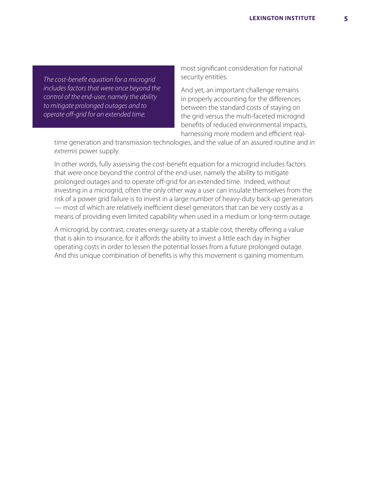*The cost-benefit equation for a microgrid includes factors that were once beyond the control of the end-user, namely the ability to mitigate prolonged outages and to operate off-grid for an extended time.* 

most significant consideration for national security entities.

And yet, an important challenge remains in properly accounting for the differences between the standard costs of staying on the grid versus the multi-faceted microgrid benefits of reduced environmental impacts, harnessing more modern and efficient real-

time generation and transmission technologies, and the value of an assured routine and *in extremis* power supply.

In other words, fully assessing the cost-benefit equation for a microgrid includes factors that were once beyond the control of the end-user, namely the ability to mitigate prolonged outages and to operate off-grid for an extended time. Indeed, without investing in a microgrid, often the only other way a user can insulate themselves from the risk of a power grid failure is to invest in a large number of heavy-duty back-up generators — most of which are relatively inefficient diesel generators that can be very costly as a means of providing even limited capability when used in a medium or long-term outage.

A microgrid, by contrast, creates energy surety at a stable cost, thereby offering a value that is akin to insurance, for it affords the ability to invest a little each day in higher operating costs in order to lessen the potential losses from a future prolonged outage. And this unique combination of benefits is why this movement is gaining momentum.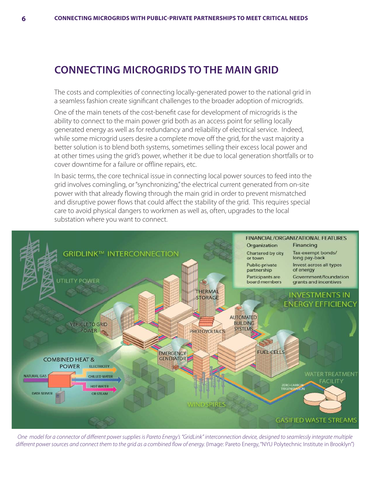## **CONNECTING MICROGRIDS TO THE MAIN GRID**

The costs and complexities of connecting locally-generated power to the national grid in a seamless fashion create significant challenges to the broader adoption of microgrids.

One of the main tenets of the cost-benefit case for development of microgrids is the ability to connect to the main power grid both as an access point for selling locally generated energy as well as for redundancy and reliability of electrical service. Indeed, while some microgrid users desire a complete move off the grid, for the vast majority a better solution is to blend both systems, sometimes selling their excess local power and at other times using the grid's power, whether it be due to local generation shortfalls or to cover downtime for a failure or offline repairs, etc.

In basic terms, the core technical issue in connecting local power sources to feed into the grid involves comingling, or "synchronizing," the electrical current generated from on-site power with that already flowing through the main grid in order to prevent mismatched and disruptive power flows that could affect the stability of the grid. This requires special care to avoid physical dangers to workmen as well as, often, upgrades to the local substation where you want to connect.



*One model for a connector of different power supplies is Pareto Energy's "GridLink" interconnection device, designed to seamlessly integrate multiple*  different power sources and connect them to the grid as a combined flow of energy. (Image: Pareto Energy, "NYU Polytechnic Institute in Brooklyn")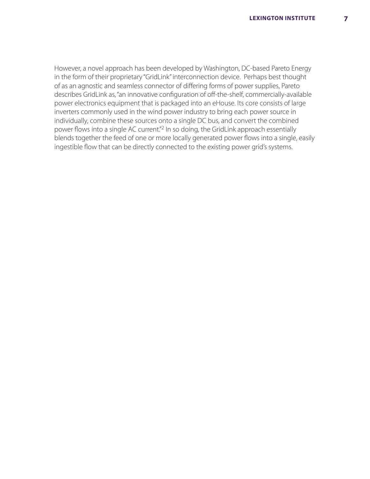However, a novel approach has been developed by Washington, DC-based Pareto Energy in the form of their proprietary "GridLink" interconnection device. Perhaps best thought of as an agnostic and seamless connector of differing forms of power supplies, Pareto describes GridLink as, "an innovative configuration of off-the-shelf, commercially-available power electronics equipment that is packaged into an eHouse. Its core consists of large inverters commonly used in the wind power industry to bring each power source in individually, combine these sources onto a single DC bus, and convert the combined power flows into a single AC current."2 In so doing, the GridLink approach essentially blends together the feed of one or more locally generated power flows into a single, easily ingestible flow that can be directly connected to the existing power grid's systems.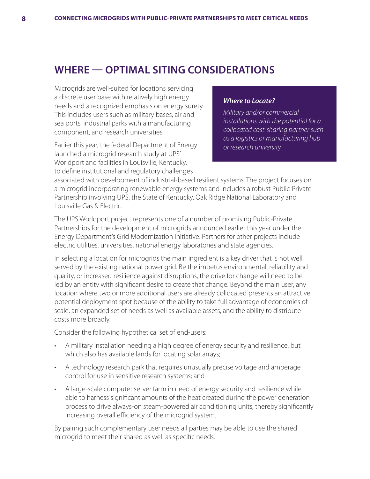## **WHERE — OPTIMAL SITING CONSIDERATIONS**

Microgrids are well-suited for locations servicing a discrete user base with relatively high energy needs and a recognized emphasis on energy surety. This includes users such as military bases, air and sea ports, industrial parks with a manufacturing component, and research universities.

Earlier this year, the federal Department of Energy launched a microgrid research study at UPS' Worldport and facilities in Louisville, Kentucky, to define institutional and regulatory challenges

#### *Where to Locate?*

*Military and/or commercial installations with the potential for a collocated cost-sharing partner such as a logistics or manufacturing hub or research university.*

associated with development of industrial-based resilient systems. The project focuses on a microgrid incorporating renewable energy systems and includes a robust Public-Private Partnership involving UPS, the State of Kentucky, Oak Ridge National Laboratory and Louisville Gas & Electric.

The UPS Worldport project represents one of a number of promising Public-Private Partnerships for the development of microgrids announced earlier this year under the Energy Department's Grid Modernization Initiative. Partners for other projects include electric utilities, universities, national energy laboratories and state agencies.

In selecting a location for microgrids the main ingredient is a key driver that is not well served by the existing national power grid. Be the impetus environmental, reliability and quality, or increased resilience against disruptions, the drive for change will need to be led by an entity with significant desire to create that change. Beyond the main user, any location where two or more additional users are already collocated presents an attractive potential deployment spot because of the ability to take full advantage of economies of scale, an expanded set of needs as well as available assets, and the ability to distribute costs more broadly.

Consider the following hypothetical set of end-users:

- A military installation needing a high degree of energy security and resilience, but which also has available lands for locating solar arrays;
- A technology research park that requires unusually precise voltage and amperage control for use in sensitive research systems; and
- A large-scale computer server farm in need of energy security and resilience while able to harness significant amounts of the heat created during the power generation process to drive always-on steam-powered air conditioning units, thereby significantly increasing overall efficiency of the microgrid system.

By pairing such complementary user needs all parties may be able to use the shared microgrid to meet their shared as well as specific needs.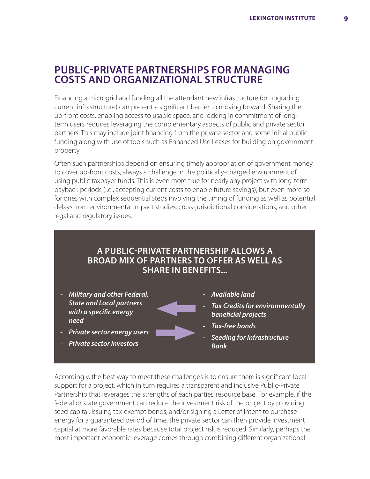#### **PUBLIC-PRIVATE PARTNERSHIPS FOR MANAGING COSTS AND ORGANIZATIONAL STRUCTURE**

Financing a microgrid and funding all the attendant new infrastructure (or upgrading current infrastructure) can present a significant barrier to moving forward. Sharing the up-front costs, enabling access to usable space, and locking in commitment of longterm users requires leveraging the complementary aspects of public and private sector partners. This may include joint financing from the private sector and some initial public funding along with use of tools such as Enhanced Use Leases for building on government property.

Often such partnerships depend on ensuring timely appropriation of government money to cover up-front costs, always a challenge in the politically-charged environment of using public taxpayer funds. This is even more true for nearly any project with long-term payback periods (i.e., accepting current costs to enable future savings), but even more so for ones with complex sequential steps involving the timing of funding as well as potential delays from environmental impact studies, cross-jurisdictional considerations, and other legal and regulatory issues.

#### **A PUBLIC-PRIVATE PARTNERSHIP ALLOWS A BROAD MIX OF PARTNERS TO OFFER AS WELL AS SHARE IN BENEFITS...**

- *Military and other Federal, State and Local partners with a specific energy need*
- *Private sector energy users*
- *Private sector investors*
- *Available land*
- *Tax Credits for environmentally beneficial projects*
- *Tax-free bonds*
- *Seeding for Infrastructure Bank*

Accordingly, the best way to meet these challenges is to ensure there is significant local support for a project, which in turn requires a transparent and inclusive Public-Private Partnership that leverages the strengths of each parties' resource base. For example, if the federal or state government can reduce the investment risk of the project by providing seed capital, issuing tax-exempt bonds, and/or signing a Letter of Intent to purchase energy for a guaranteed period of time, the private sector can then provide investment capital at more favorable rates because total project risk is reduced. Similarly, perhaps the most important economic leverage comes through combining different organizational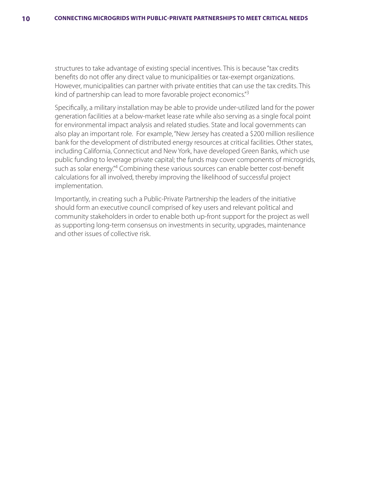structures to take advantage of existing special incentives. This is because "tax credits benefits do not offer any direct value to municipalities or tax-exempt organizations. However, municipalities can partner with private entities that can use the tax credits. This kind of partnership can lead to more favorable project economics."3

Specifically, a military installation may be able to provide under-utilized land for the power generation facilities at a below-market lease rate while also serving as a single focal point for environmental impact analysis and related studies. State and local governments can also play an important role. For example, "New Jersey has created a \$200 million resilience bank for the development of distributed energy resources at critical facilities. Other states, including California, Connecticut and New York, have developed Green Banks, which use public funding to leverage private capital; the funds may cover components of microgrids, such as solar energy."4 Combining these various sources can enable better cost-benefit calculations for all involved, thereby improving the likelihood of successful project implementation.

Importantly, in creating such a Public-Private Partnership the leaders of the initiative should form an executive council comprised of key users and relevant political and community stakeholders in order to enable both up-front support for the project as well as supporting long-term consensus on investments in security, upgrades, maintenance and other issues of collective risk.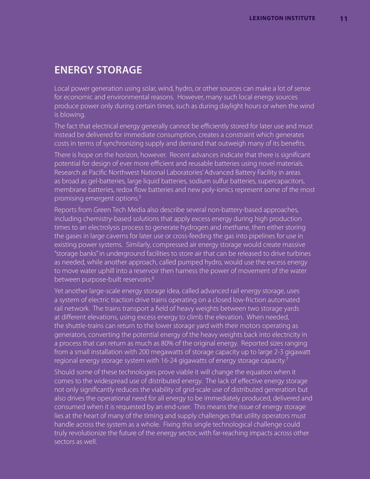## **ENERGY STORAGE**

Local power generation using solar, wind, hydro, or other sources can make a lot of sense for economic and environmental reasons. However, many such local energy sources produce power only during certain times, such as during daylight hours or when the wind is blowing.

The fact that electrical energy generally cannot be efficiently stored for later use and must instead be delivered for immediate consumption, creates a constraint which generates costs in terms of synchronizing supply and demand that outweigh many of its benefits.

There is hope on the horizon, however. Recent advances indicate that there is significant potential for design of ever more efficient and reusable batteries using novel materials. Research at Pacific Northwest National Laboratories' Advanced Battery Facility in areas as broad as gel-batteries, large liquid batteries, sodium sulfur batteries, supercapacitors, membrane batteries, redox flow batteries and new poly-ionics represent some of the most promising emergent options.<sup>5</sup>

Reports from Green Tech Media also describe several non-battery-based approaches, including chemistry-based solutions that apply excess energy during high production times to an electrolysis process to generate hydrogen and methane, then either storing the gases in large caverns for later use or cross-feeding the gas into pipelines for use in existing power systems. Similarly, compressed air energy storage would create massive "storage banks" in underground facilities to store air that can be released to drive turbines as needed, while another approach, called pumped hydro, would use the excess energy to move water uphill into a reservoir then harness the power of movement of the water between purpose-built reservoirs.<sup>6</sup>

Yet another large-scale energy storage idea, called advanced rail energy storage, uses a system of electric traction drive trains operating on a closed low-friction automated rail network. The trains transport a field of heavy weights between two storage yards at different elevations, using excess energy to climb the elevation. When needed, the shuttle-trains can return to the lower storage yard with their motors operating as generators, converting the potential energy of the heavy weights back into electricity in a process that can return as much as 80% of the original energy. Reported sizes ranging from a small installation with 200 megawatts of storage capacity up to large 2-3 gigawatt regional energy storage system with 16-24 gigawatts of energy storage capacity.<sup>7</sup>

Should some of these technologies prove viable it will change the equation when it comes to the widespread use of distributed energy. The lack of effective energy storage not only significantly reduces the viability of grid-scale use of distributed generation but also drives the operational need for all energy to be immediately produced, delivered and consumed when it is requested by an end-user. This means the issue of energy storage lies at the heart of many of the timing and supply challenges that utility operators must handle across the system as a whole. Fixing this single technological challenge could truly revolutionize the future of the energy sector, with far-reaching impacts across other sectors as well.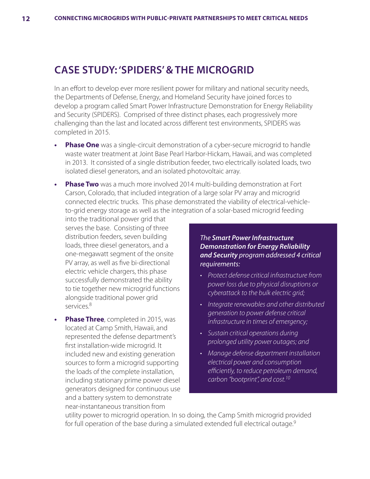### **CASE STUDY: 'SPIDERS' & THE MICROGRID**

In an effort to develop ever more resilient power for military and national security needs, the Departments of Defense, Energy, and Homeland Security have joined forces to develop a program called Smart Power Infrastructure Demonstration for Energy Reliability and Security (SPIDERS). Comprised of three distinct phases, each progressively more challenging than the last and located across different test environments, SPIDERS was completed in 2015.

- **Phase One** was a single-circuit demonstration of a cyber-secure microgrid to handle waste water treatment at Joint Base Pearl Harbor-Hickam, Hawaii, and was completed in 2013. It consisted of a single distribution feeder, two electrically isolated loads, two isolated diesel generators, and an isolated photovoltaic array.
- **Phase Two** was a much more involved 2014 multi-building demonstration at Fort Carson, Colorado, that included integration of a large solar PV array and microgrid connected electric trucks. This phase demonstrated the viability of electrical-vehicleto-grid energy storage as well as the integration of a solar-based microgrid feeding

into the traditional power grid that serves the base. Consisting of three distribution feeders, seven building loads, three diesel generators, and a one-megawatt segment of the onsite PV array, as well as five bi-directional electric vehicle chargers, this phase successfully demonstrated the ability to tie together new microgrid functions alongside traditional power grid services.8

**• Phase Three**, completed in 2015, was located at Camp Smith, Hawaii, and represented the defense department's first installation-wide microgrid. It included new and existing generation sources to form a microgrid supporting the loads of the complete installation, including stationary prime power diesel generators designed for continuous use and a battery system to demonstrate near-instantaneous transition from

*The Smart Power Infrastructure Demonstration for Energy Reliability and Security program addressed 4 critical requirements:*

- *Protect defense critical infrastructure from power loss due to physical disruptions or cyberattack to the bulk electric grid;*
- *Integrate renewables and other distributed generation to power defense critical infrastructure in times of emergency;*
- *Sustain critical operations during prolonged utility power outages; and*
- *Manage defense department installation electrical power and consumption efficiently, to reduce petroleum demand, carbon "bootprint", and cost.10*

utility power to microgrid operation. In so doing, the Camp Smith microgrid provided for full operation of the base during a simulated extended full electrical outage.<sup>9</sup>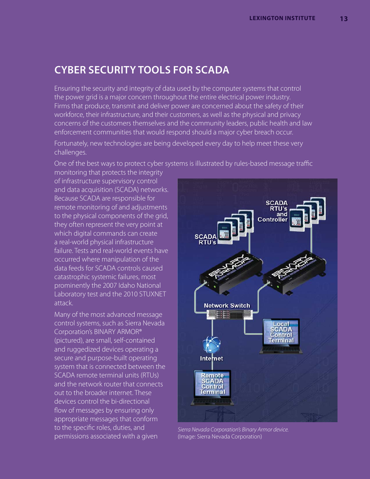## **CYBER SECURITY TOOLS FOR SCADA**

Ensuring the security and integrity of data used by the computer systems that control the power grid is a major concern throughout the entire electrical power industry. Firms that produce, transmit and deliver power are concerned about the safety of their workforce, their infrastructure, and their customers, as well as the physical and privacy concerns of the customers themselves and the community leaders, public health and law enforcement communities that would respond should a major cyber breach occur.

Fortunately, new technologies are being developed every day to help meet these very challenges.

One of the best ways to protect cyber systems is illustrated by rules-based message traffic

monitoring that protects the integrity of infrastructure supervisory control and data acquisition (SCADA) networks. Because SCADA are responsible for remote monitoring of and adjustments to the physical components of the grid, they often represent the very point at which digital commands can create a real-world physical infrastructure failure. Tests and real-world events have occurred where manipulation of the data feeds for SCADA controls caused catastrophic systemic failures, most prominently the 2007 Idaho National Laboratory test and the 2010 STUXNET attack.

Many of the most advanced message control systems, such as Sierra Nevada Corporation's BINARY ARMOR® (pictured), are small, self-contained and ruggedized devices operating a secure and purpose-built operating system that is connected between the SCADA remote terminal units (RTUs) and the network router that connects out to the broader internet. These devices control the bi-directional flow of messages by ensuring only appropriate messages that conform to the specific roles, duties, and permissions associated with a given



*Sierra Nevada Corporation's Binary Armor device.*  (Image: Sierra Nevada Corporation)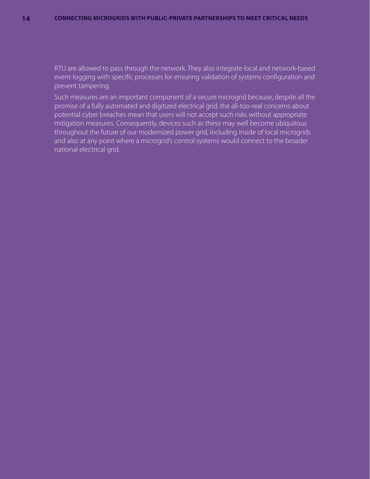RTU are allowed to pass through the network. They also integrate local and network-based event-logging with specific processes for ensuring validation of systems configuration and prevent tampering.

Such measures are an important component of a secure microgrid because, despite all the promise of a fully automated and digitized electrical grid, the all-too-real concerns about potential cyber breaches mean that users will not accept such risks without appropriate mitigation measures. Consequently, devices such as these may well become ubiquitous throughout the future of our modernized power grid, including inside of local microgrids and also at any point where a microgrid's control systems would connect to the broader national electrical grid.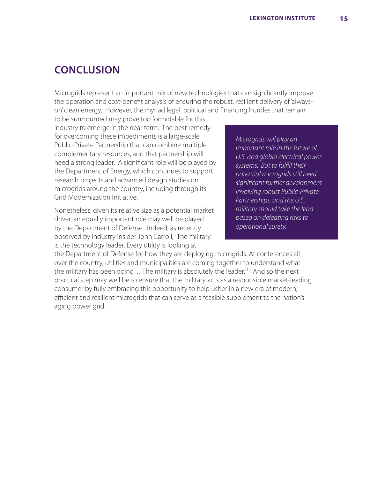## **CONCLUSION**

Microgrids represent an important mix of new technologies that can significantly improve the operation and cost-benefit analysis of ensuring the robust, resilient delivery of 'alwayson' clean energy. However, the myriad legal, political and financing hurdles that remain

to be surmounted may prove too formidable for this industry to emerge in the near term. The best remedy for overcoming these impediments is a large-scale Public-Private Partnership that can combine multiple complementary resources, and that partnership will need a strong leader. A significant role will be played by the Department of Energy, which continues to support research projects and advanced design studies on microgrids around the country, including through its Grid Modernization Initiative.

Nonetheless, given its relative size as a potential market driver, an equally important role may well be played by the Department of Defense. Indeed, as recently observed by industry insider John Carroll, "The military is the technology leader. Every utility is looking at

*Microgrids will play an important role in the future of U.S. and global electrical power systems. But to fulfill their potential microgrids still need significant further development involving robust Public-Private Partnerships, and the U.S. military should take the lead based on defeating risks to operational surety.*

the Department of Defense for how they are deploying microgrids. At conferences all over the country, utilities and municipalities are coming together to understand what the military has been doing... The military is absolutely the leader.<sup>"11</sup> And so the next practical step may well be to ensure that the military acts as a responsible market-leading consumer by fully embracing this opportunity to help usher in a new era of modern, efficient and resilient microgrids that can serve as a feasible supplement to the nation's aging power grid.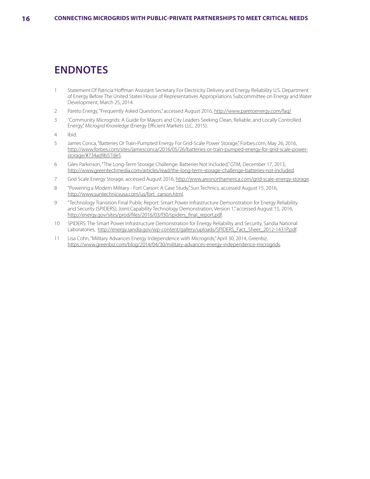## **ENDNOTES**

- 1 Statement Of Patricia Hoffman Assistant Secretary For Electricity Delivery and Energy Reliability U.S. Department of Energy Before The United States House of Representatives Appropriations Subcommittee on Energy and Water Development, March 25, 2014.
- 2 Pareto Energy, "Frequently Asked Questions," accessed August 2016, http://www.paretoenergy.com/faq/
- 3 "Community Microgrids: A Guide for Mayors and City Leaders Seeking Clean, Reliable, and Locally Controlled Energy," *Microgrid Knowledge* (Energy Efficient Markets LLC, 2015).
- 4 Ibid.
- 5 James Conca, "Batteries Or Train-Pumpted Energy For Grid-Scale Power Storage," Forbes.com, May 26, 2016, http://www.forbes.com/sites/jamesconca/2016/05/26/batteries-or-train-pumped-energy-for-grid-scale-powerstorage/#734ad9b57de5.
- 6 Giles Parkinson, "The Long-Term Storage Challenge: Batteries Not Included," GTM, December 17, 2013, http://www.greentechmedia.com/articles/read/the-long-term-storage-challenge-batteries-not-included.
- 7 Grid Scale Energy Storage, accessed August 2016, http://www.aresnorthamerica.com/grid-scale-energy-storage.
- 8 "Powering a Modern Military Fort Carson: A Case Study," Sun Technics, accessed August 15, 2016, http://www.suntechnicsusa.com/us/fort\_carson.html.
- 9 "Technology Transition Final Public Report: Smart Power Infrastructure Demonstration for Energy Reliability and Security (SPIDERS), Joint Capability Technology Demonstration, Version 1," accessed August 15, 2016, http://energy.gov/sites/prod/files/2016/03/f30/spiders\_final\_report.pdf.
- 10 SPIDERS: The Smart Power Infrastructure Demonstration for Energy Reliability and Security, Sandia National Laboratories, http://energy.sandia.gov/wp-content/gallery/uploads/SPIDERS\_Fact\_Sheet\_2012-1431P.pdf.
- 11 Lisa Cohn, "Military Advances Energy Independence with Microgrids," April 30, 2014, *Greenbiz*, https://www.greenbiz.com/blog/2014/04/30/military-advances-energy-independence-microgrids.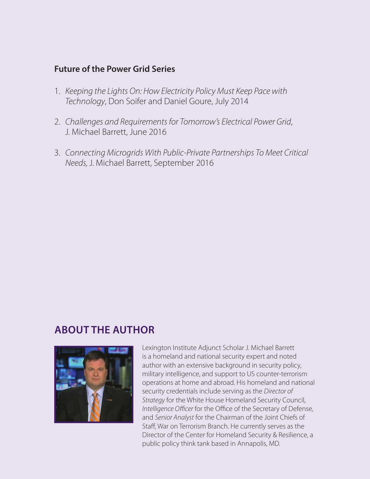#### **Future of the Power Grid Series**

- 1. *Keeping the Lights On: How Electricity Policy Must Keep Pace with Technology*, Don Soifer and Daniel Goure, July 2014
- 2. *Challenges and Requirements for Tomorrow's Electrical Power Grid*, J. Michael Barrett, June 2016
- 3. *Connecting Microgrids With Public-Private Partnerships To Meet Critical Needs,* J. Michael Barrett, September 2016

## **ABOUT THE AUTHOR**



Lexington Institute Adjunct Scholar J. Michael Barrett is a homeland and national security expert and noted author with an extensive background in security policy, military intelligence, and support to US counter-terrorism operations at home and abroad. His homeland and national security credentials include serving as the *Director of Strategy* for the White House Homeland Security Council, *Intelligence Officer* for the Office of the Secretary of Defense, and *Senior Analyst* for the Chairman of the Joint Chiefs of Staff, War on Terrorism Branch. He currently serves as the Director of the Center for Homeland Security & Resilience, a public policy think tank based in Annapolis, MD.